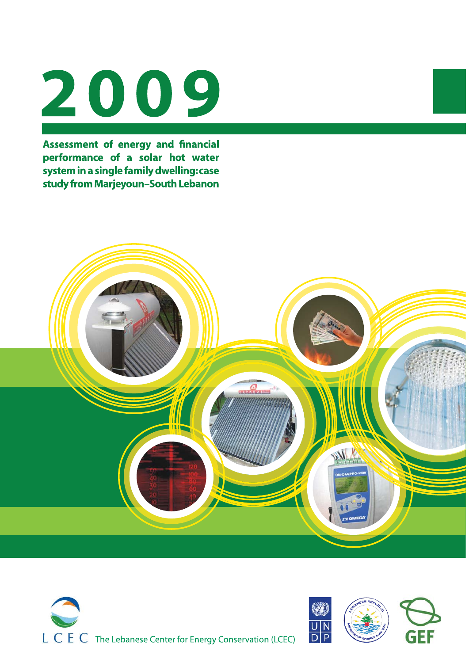# 2009

Assessment of energy and financial performance of a solar hot water system in a single family dwelling: case study from Marjeyoun-South Lebanon





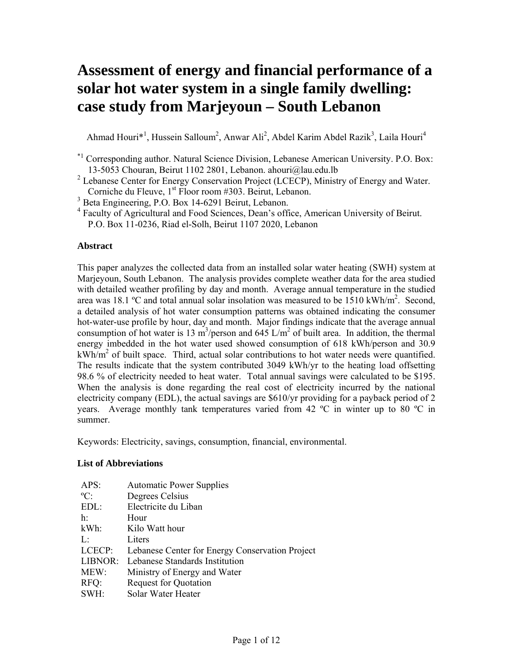# **Assessment of energy and financial performance of a solar hot water system in a single family dwelling: case study from Marjeyoun – South Lebanon**

Ahmad Houri<sup>\*1</sup>, Hussein Salloum<sup>2</sup>, Anwar Ali<sup>2</sup>, Abdel Karim Abdel Razik<sup>3</sup>, Laila Houri<sup>4</sup>

<sup>3</sup> Beta Engineering, P.O. Box 14-6291 Beirut, Lebanon.

#### **Abstract**

This paper analyzes the collected data from an installed solar water heating (SWH) system at Marjeyoun, South Lebanon. The analysis provides complete weather data for the area studied with detailed weather profiling by day and month. Average annual temperature in the studied area was 18.1 °C and total annual solar insolation was measured to be  $1510 \text{ kWh/m}^2$ . Second, a detailed analysis of hot water consumption patterns was obtained indicating the consumer hot-water-use profile by hour, day and month. Major findings indicate that the average annual consumption of hot water is 13 m<sup>3</sup>/person and 645 L/m<sup>2</sup> of built area. In addition, the thermal energy imbedded in the hot water used showed consumption of 618 kWh/person and 30.9  $kWh/m<sup>2</sup>$  of built space. Third, actual solar contributions to hot water needs were quantified. The results indicate that the system contributed 3049 kWh/yr to the heating load offsetting 98.6 % of electricity needed to heat water. Total annual savings were calculated to be \$195. When the analysis is done regarding the real cost of electricity incurred by the national electricity company (EDL), the actual savings are \$610/yr providing for a payback period of 2 years. Average monthly tank temperatures varied from 42  $^{\circ}$ C in winter up to 80  $^{\circ}$ C in summer.

Keywords: Electricity, savings, consumption, financial, environmental.

#### **List of Abbreviations**

| <b>Automatic Power Supplies</b>                 |
|-------------------------------------------------|
| Degrees Celsius                                 |
| Electricite du Liban                            |
| Hour                                            |
| Kilo Watt hour                                  |
| Liters                                          |
| Lebanese Center for Energy Conservation Project |
| Lebanese Standards Institution                  |
| Ministry of Energy and Water                    |
| <b>Request for Quotation</b>                    |
| Solar Water Heater                              |
|                                                 |

<sup>\*1</sup> Corresponding author. Natural Science Division, Lebanese American University. P.O. Box: 13-5053 Chouran, Beirut 1102 2801, Lebanon. ahouri@lau.edu.lb

 $2^2$  Lebanese Center for Energy Conservation Project (LCECP), Ministry of Energy and Water. Corniche du Fleuve, 1<sup>st</sup> Floor room #303. Beirut, Lebanon.

<sup>4</sup> Faculty of Agricultural and Food Sciences, Dean's office, American University of Beirut. P.O. Box 11-0236, Riad el-Solh, Beirut 1107 2020, Lebanon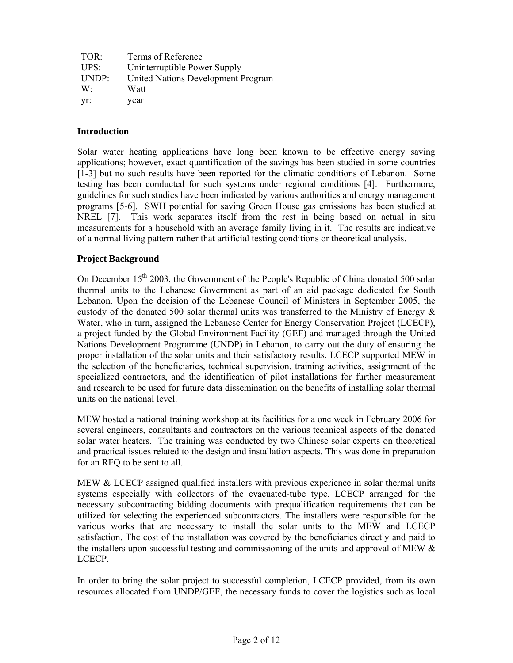| TOR:           | Terms of Reference                 |
|----------------|------------------------------------|
| UPS            | Uninterruptible Power Supply       |
| UNDP:          | United Nations Development Program |
| W <sup>1</sup> | Watt                               |
| Vr:            | year                               |

# **Introduction**

Solar water heating applications have long been known to be effective energy saving applications; however, exact quantification of the savings has been studied in some countries [1-3] but no such results have been reported for the climatic conditions of Lebanon. Some testing has been conducted for such systems under regional conditions [4]. Furthermore, guidelines for such studies have been indicated by various authorities and energy management programs [5-6]. SWH potential for saving Green House gas emissions has been studied at NREL [7]. This work separates itself from the rest in being based on actual in situ measurements for a household with an average family living in it. The results are indicative of a normal living pattern rather that artificial testing conditions or theoretical analysis.

# **Project Background**

On December  $15<sup>th</sup>$  2003, the Government of the People's Republic of China donated 500 solar thermal units to the Lebanese Government as part of an aid package dedicated for South Lebanon. Upon the decision of the Lebanese Council of Ministers in September 2005, the custody of the donated 500 solar thermal units was transferred to the Ministry of Energy  $\&$ Water, who in turn, assigned the Lebanese Center for Energy Conservation Project (LCECP), a project funded by the Global Environment Facility (GEF) and managed through the United Nations Development Programme (UNDP) in Lebanon, to carry out the duty of ensuring the proper installation of the solar units and their satisfactory results. LCECP supported MEW in the selection of the beneficiaries, technical supervision, training activities, assignment of the specialized contractors, and the identification of pilot installations for further measurement and research to be used for future data dissemination on the benefits of installing solar thermal units on the national level.

MEW hosted a national training workshop at its facilities for a one week in February 2006 for several engineers, consultants and contractors on the various technical aspects of the donated solar water heaters. The training was conducted by two Chinese solar experts on theoretical and practical issues related to the design and installation aspects. This was done in preparation for an RFQ to be sent to all.

MEW & LCECP assigned qualified installers with previous experience in solar thermal units systems especially with collectors of the evacuated-tube type. LCECP arranged for the necessary subcontracting bidding documents with prequalification requirements that can be utilized for selecting the experienced subcontractors. The installers were responsible for the various works that are necessary to install the solar units to the MEW and LCECP satisfaction. The cost of the installation was covered by the beneficiaries directly and paid to the installers upon successful testing and commissioning of the units and approval of MEW & LCECP.

In order to bring the solar project to successful completion, LCECP provided, from its own resources allocated from UNDP/GEF, the necessary funds to cover the logistics such as local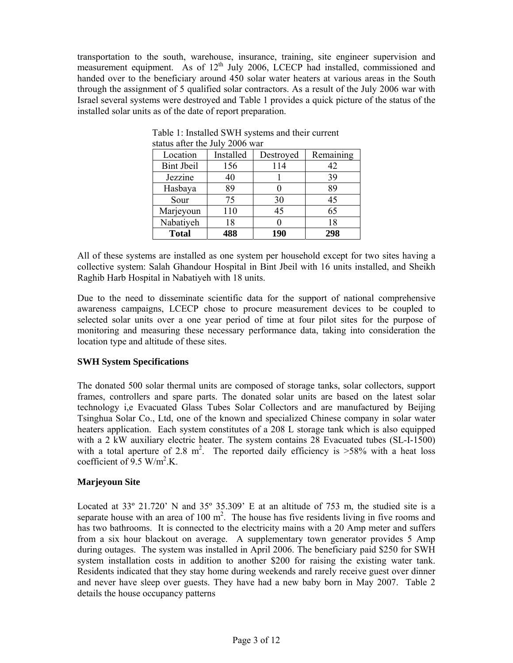transportation to the south, warehouse, insurance, training, site engineer supervision and measurement equipment. As of  $12<sup>th</sup>$  July 2006, LCECP had installed, commissioned and handed over to the beneficiary around 450 solar water heaters at various areas in the South through the assignment of 5 qualified solar contractors. As a result of the July 2006 war with Israel several systems were destroyed and Table 1 provides a quick picture of the status of the installed solar units as of the date of report preparation.

| Location          | Installed | Destroyed | Remaining |  |  |  |  |  |  |
|-------------------|-----------|-----------|-----------|--|--|--|--|--|--|
| <b>Bint Jbeil</b> | 156       | 114       | 42        |  |  |  |  |  |  |
| Jezzine           | 40        |           | 39        |  |  |  |  |  |  |
| Hasbaya           | 89        |           | 89        |  |  |  |  |  |  |
| Sour              | 75        | 30        | 45        |  |  |  |  |  |  |
| Marjeyoun         | 110       | 45        | 65        |  |  |  |  |  |  |
| Nabatiyeh         | 18        |           | 18        |  |  |  |  |  |  |
| <b>Total</b>      | 488       | 190       | 298       |  |  |  |  |  |  |

Table 1: Installed SWH systems and their current status after the July 2006 war

All of these systems are installed as one system per household except for two sites having a collective system: Salah Ghandour Hospital in Bint Jbeil with 16 units installed, and Sheikh Raghib Harb Hospital in Nabatiyeh with 18 units.

Due to the need to disseminate scientific data for the support of national comprehensive awareness campaigns, LCECP chose to procure measurement devices to be coupled to selected solar units over a one year period of time at four pilot sites for the purpose of monitoring and measuring these necessary performance data, taking into consideration the location type and altitude of these sites.

# **SWH System Specifications**

The donated 500 solar thermal units are composed of storage tanks, solar collectors, support frames, controllers and spare parts. The donated solar units are based on the latest solar technology i,e Evacuated Glass Tubes Solar Collectors and are manufactured by Beijing Tsinghua Solar Co., Ltd, one of the known and specialized Chinese company in solar water heaters application. Each system constitutes of a 208 L storage tank which is also equipped with a 2 kW auxiliary electric heater. The system contains 28 Evacuated tubes (SL-I-1500) with a total aperture of 2.8 m<sup>2</sup>. The reported daily efficiency is  $>58\%$  with a heat loss coefficient of  $9.5 \text{ W/m}^2$ .K.

# **Marjeyoun Site**

Located at 33° 21.720' N and 35° 35.309' E at an altitude of 753 m, the studied site is a separate house with an area of 100  $m^2$ . The house has five residents living in five rooms and has two bathrooms. It is connected to the electricity mains with a 20 Amp meter and suffers from a six hour blackout on average. A supplementary town generator provides 5 Amp during outages. The system was installed in April 2006. The beneficiary paid \$250 for SWH system installation costs in addition to another \$200 for raising the existing water tank. Residents indicated that they stay home during weekends and rarely receive guest over dinner and never have sleep over guests. They have had a new baby born in May 2007. Table 2 details the house occupancy patterns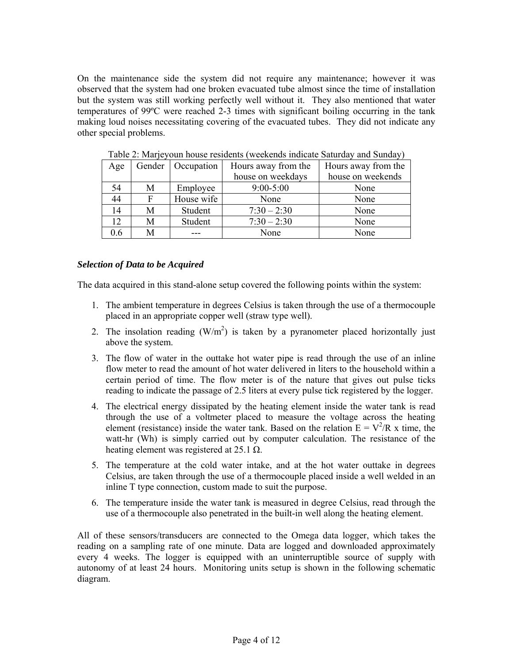On the maintenance side the system did not require any maintenance; however it was observed that the system had one broken evacuated tube almost since the time of installation but the system was still working perfectly well without it. They also mentioned that water temperatures of 99ºC were reached 2-3 times with significant boiling occurring in the tank making loud noises necessitating covering of the evacuated tubes. They did not indicate any other special problems.

| Age |   | Gender   Occupation | Hours away from the | Hours away from the |
|-----|---|---------------------|---------------------|---------------------|
|     |   |                     | house on weekdays   | house on weekends   |
| 54  | М | Employee            | $9:00 - 5:00$       | None                |
| 44  | F | House wife          | None                | None                |
| 14  | М | Student             | $7:30 - 2:30$       | None                |
| 12  | М | Student             | $7:30 - 2:30$       | None                |
| 0.6 | M |                     | None                | None                |

Table 2: Marjeyoun house residents (weekends indicate Saturday and Sunday)

# *Selection of Data to be Acquired*

The data acquired in this stand-alone setup covered the following points within the system:

- 1. The ambient temperature in degrees Celsius is taken through the use of a thermocouple placed in an appropriate copper well (straw type well).
- 2. The insolation reading  $(W/m^2)$  is taken by a pyranometer placed horizontally just above the system.
- 3. The flow of water in the outtake hot water pipe is read through the use of an inline flow meter to read the amount of hot water delivered in liters to the household within a certain period of time. The flow meter is of the nature that gives out pulse ticks reading to indicate the passage of 2.5 liters at every pulse tick registered by the logger.
- 4. The electrical energy dissipated by the heating element inside the water tank is read through the use of a voltmeter placed to measure the voltage across the heating element (resistance) inside the water tank. Based on the relation  $E = V^2/R$  x time, the watt-hr (Wh) is simply carried out by computer calculation. The resistance of the heating element was registered at 25.1  $\Omega$ .
- 5. The temperature at the cold water intake, and at the hot water outtake in degrees Celsius, are taken through the use of a thermocouple placed inside a well welded in an inline T type connection, custom made to suit the purpose.
- 6. The temperature inside the water tank is measured in degree Celsius, read through the use of a thermocouple also penetrated in the built-in well along the heating element.

All of these sensors/transducers are connected to the Omega data logger, which takes the reading on a sampling rate of one minute. Data are logged and downloaded approximately every 4 weeks. The logger is equipped with an uninterruptible source of supply with autonomy of at least 24 hours. Monitoring units setup is shown in the following schematic diagram.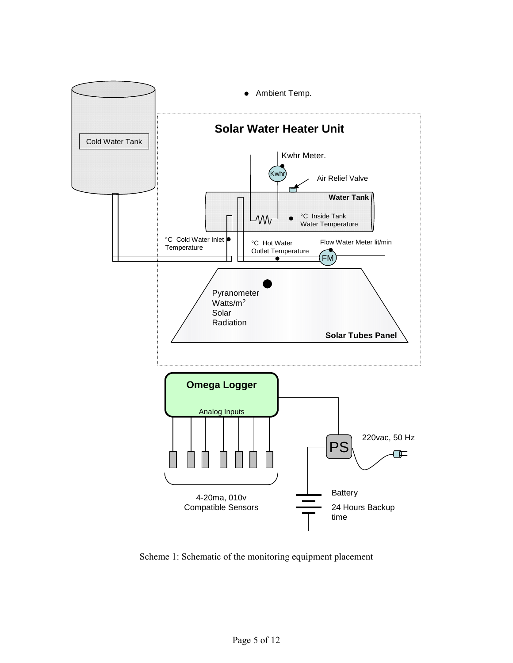

Scheme 1: Schematic of the monitoring equipment placement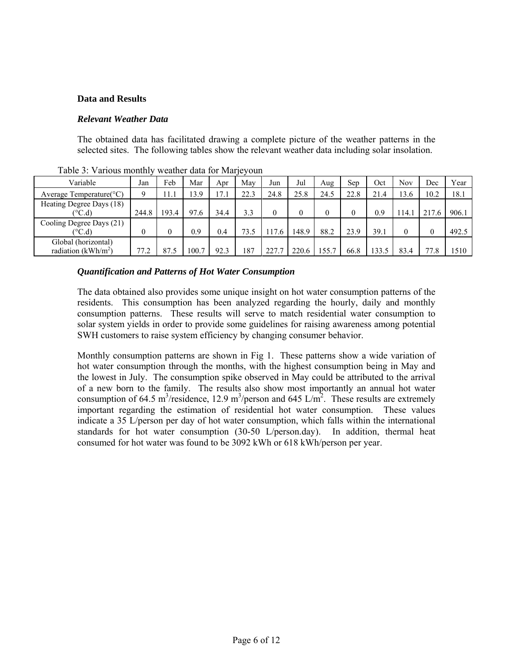#### **Data and Results**

#### *Relevant Weather Data*

The obtained data has facilitated drawing a complete picture of the weather patterns in the selected sites. The following tables show the relevant weather data including solar insolation.

|                                                 |       |       | $\cdots$ covered there is $\cdots$ is $\cdots$ |      |      |      |       |       |      |       |            |          |       |
|-------------------------------------------------|-------|-------|------------------------------------------------|------|------|------|-------|-------|------|-------|------------|----------|-------|
| Variable                                        | Jan   | Feb   | Mar                                            | Apr  | May  | Jun  | Jul   | Aug   | Sep  | Oct   | <b>Nov</b> | Dec      | Year  |
| Average Temperature( ${}^{\circ}$ C)            | q     | 11.1  | 3.9                                            | 17.1 | 22.3 | 24.8 | 25.8  | 24.5  | 22.8 | 21.4  | 3.6        | 10.2     | 18.1  |
| Heating Degree Days (18)<br>$\rm ^{\circ C.d)}$ | 244.8 | 193.4 | 97.6                                           | 34.4 | 3.3  |      |       |       | 0    | 0.9   | 14.1       | 217.6    | 906.1 |
| Cooling Degree Days (21)<br>$(^{\circ}C.d)$     |       |       | 0.9                                            | 0.4  | 73.5 | 17.6 | 148.9 | 88.2  | 23.9 | 39.1  |            | $\theta$ | 492.5 |
| Global (horizontal)<br>radiation ( $kWh/m^2$ )  | 77.2  | 87.5  | 100.7                                          | 92.3 | 187  | 227  | 220.6 | 155.7 | 66.8 | 133.5 | 83.4       | 77.8     | 1510  |

Table 3: Various monthly weather data for Marjeyoun

#### *Quantification and Patterns of Hot Water Consumption*

The data obtained also provides some unique insight on hot water consumption patterns of the residents. This consumption has been analyzed regarding the hourly, daily and monthly consumption patterns. These results will serve to match residential water consumption to solar system yields in order to provide some guidelines for raising awareness among potential SWH customers to raise system efficiency by changing consumer behavior.

Monthly consumption patterns are shown in Fig 1. These patterns show a wide variation of hot water consumption through the months, with the highest consumption being in May and the lowest in July. The consumption spike observed in May could be attributed to the arrival of a new born to the family. The results also show most importantly an annual hot water consumption of 64.5 m<sup>3</sup>/residence, 12.9 m<sup>3</sup>/person and 645 L/m<sup>2</sup>. These results are extremely important regarding the estimation of residential hot water consumption. These values indicate a 35 L/person per day of hot water consumption, which falls within the international standards for hot water consumption (30-50 L/person.day). In addition, thermal heat consumed for hot water was found to be 3092 kWh or 618 kWh/person per year.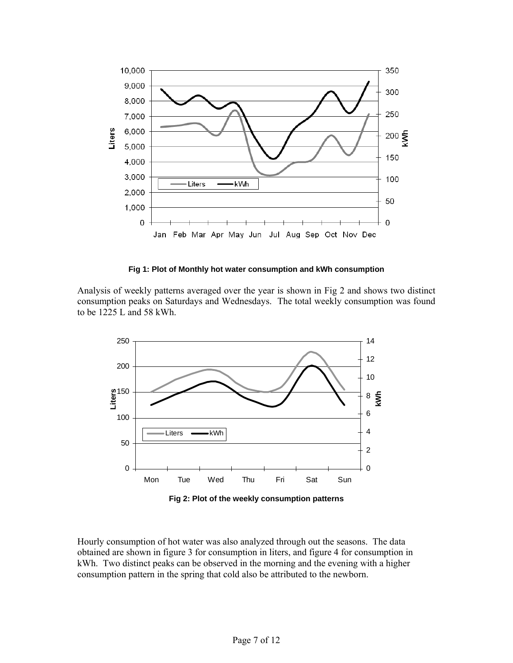

**Fig 1: Plot of Monthly hot water consumption and kWh consumption** 

Analysis of weekly patterns averaged over the year is shown in Fig 2 and shows two distinct consumption peaks on Saturdays and Wednesdays. The total weekly consumption was found to be 1225 L and 58 kWh.



Hourly consumption of hot water was also analyzed through out the seasons. The data obtained are shown in figure 3 for consumption in liters, and figure 4 for consumption in kWh. Two distinct peaks can be observed in the morning and the evening with a higher consumption pattern in the spring that cold also be attributed to the newborn.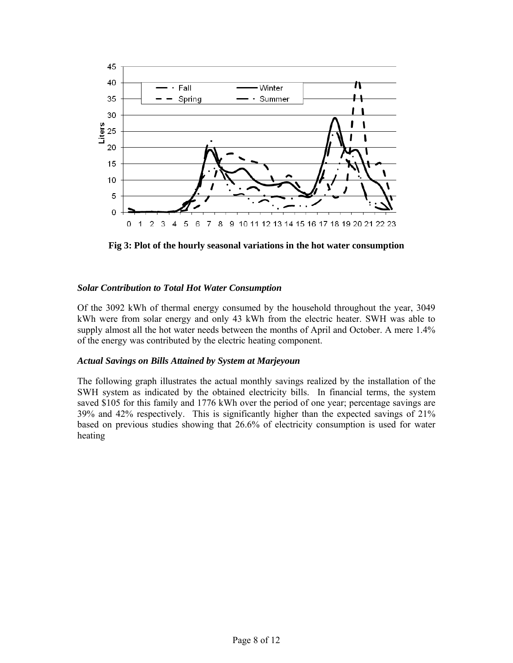

**Fig 3: Plot of the hourly seasonal variations in the hot water consumption** 

# *Solar Contribution to Total Hot Water Consumption*

Of the 3092 kWh of thermal energy consumed by the household throughout the year, 3049 kWh were from solar energy and only 43 kWh from the electric heater. SWH was able to supply almost all the hot water needs between the months of April and October. A mere 1.4% of the energy was contributed by the electric heating component.

# *Actual Savings on Bills Attained by System at Marjeyoun*

The following graph illustrates the actual monthly savings realized by the installation of the SWH system as indicated by the obtained electricity bills. In financial terms, the system saved \$105 for this family and 1776 kWh over the period of one year; percentage savings are 39% and 42% respectively. This is significantly higher than the expected savings of 21% based on previous studies showing that 26.6% of electricity consumption is used for water heating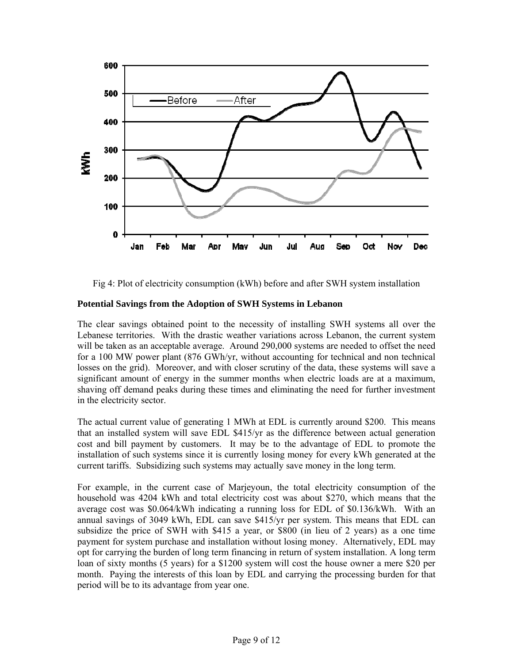

Fig 4: Plot of electricity consumption (kWh) before and after SWH system installation

# **Potential Savings from the Adoption of SWH Systems in Lebanon**

The clear savings obtained point to the necessity of installing SWH systems all over the Lebanese territories. With the drastic weather variations across Lebanon, the current system will be taken as an acceptable average. Around 290,000 systems are needed to offset the need for a 100 MW power plant (876 GWh/yr, without accounting for technical and non technical losses on the grid). Moreover, and with closer scrutiny of the data, these systems will save a significant amount of energy in the summer months when electric loads are at a maximum, shaving off demand peaks during these times and eliminating the need for further investment in the electricity sector.

The actual current value of generating 1 MWh at EDL is currently around \$200. This means that an installed system will save EDL \$415/yr as the difference between actual generation cost and bill payment by customers. It may be to the advantage of EDL to promote the installation of such systems since it is currently losing money for every kWh generated at the current tariffs. Subsidizing such systems may actually save money in the long term.

For example, in the current case of Marjeyoun, the total electricity consumption of the household was 4204 kWh and total electricity cost was about \$270, which means that the average cost was \$0.064/kWh indicating a running loss for EDL of \$0.136/kWh. With an annual savings of 3049 kWh, EDL can save \$415/yr per system. This means that EDL can subsidize the price of SWH with \$415 a year, or \$800 (in lieu of 2 years) as a one time payment for system purchase and installation without losing money. Alternatively, EDL may opt for carrying the burden of long term financing in return of system installation. A long term loan of sixty months (5 years) for a \$1200 system will cost the house owner a mere \$20 per month. Paying the interests of this loan by EDL and carrying the processing burden for that period will be to its advantage from year one.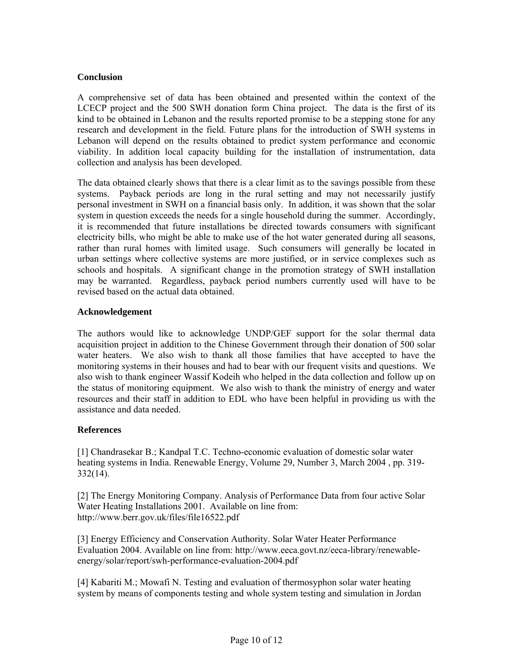#### **Conclusion**

A comprehensive set of data has been obtained and presented within the context of the LCECP project and the 500 SWH donation form China project. The data is the first of its kind to be obtained in Lebanon and the results reported promise to be a stepping stone for any research and development in the field. Future plans for the introduction of SWH systems in Lebanon will depend on the results obtained to predict system performance and economic viability. In addition local capacity building for the installation of instrumentation, data collection and analysis has been developed.

The data obtained clearly shows that there is a clear limit as to the savings possible from these systems. Payback periods are long in the rural setting and may not necessarily justify personal investment in SWH on a financial basis only. In addition, it was shown that the solar system in question exceeds the needs for a single household during the summer. Accordingly, it is recommended that future installations be directed towards consumers with significant electricity bills, who might be able to make use of the hot water generated during all seasons, rather than rural homes with limited usage. Such consumers will generally be located in urban settings where collective systems are more justified, or in service complexes such as schools and hospitals. A significant change in the promotion strategy of SWH installation may be warranted. Regardless, payback period numbers currently used will have to be revised based on the actual data obtained.

#### **Acknowledgement**

The authors would like to acknowledge UNDP/GEF support for the solar thermal data acquisition project in addition to the Chinese Government through their donation of 500 solar water heaters. We also wish to thank all those families that have accepted to have the monitoring systems in their houses and had to bear with our frequent visits and questions. We also wish to thank engineer Wassif Kodeih who helped in the data collection and follow up on the status of monitoring equipment. We also wish to thank the ministry of energy and water resources and their staff in addition to EDL who have been helpful in providing us with the assistance and data needed.

# **References**

[1] Chandrasekar B.; Kandpal T.C. Techno-economic evaluation of domestic solar water heating systems in India. Renewable Energy, Volume 29, Number 3, March 2004 , pp. 319- 332(14).

[2] The Energy Monitoring Company. Analysis of Performance Data from four active Solar Water Heating Installations 2001. Available on line from: http://www.berr.gov.uk/files/file16522.pdf

[3] Energy Efficiency and Conservation Authority. Solar Water Heater Performance Evaluation 2004. Available on line from: http://www.eeca.govt.nz/eeca-library/renewableenergy/solar/report/swh-performance-evaluation-2004.pdf

[4] Kabariti M.; Mowafi N. Testing and evaluation of thermosyphon solar water heating system by means of components testing and whole system testing and simulation in Jordan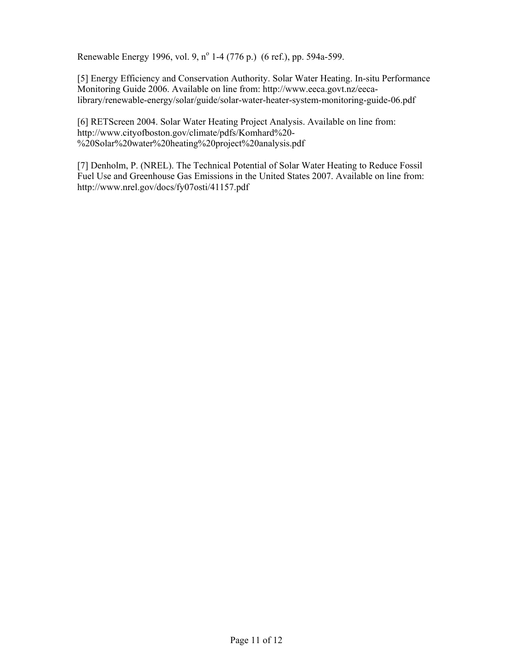Renewable Energy 1996, vol. 9, nº 1-4 (776 p.) (6 ref.), pp. 594a-599.

[5] Energy Efficiency and Conservation Authority. Solar Water Heating. In-situ Performance Monitoring Guide 2006. Available on line from: http://www.eeca.govt.nz/eecalibrary/renewable-energy/solar/guide/solar-water-heater-system-monitoring-guide-06.pdf

[6] RETScreen 2004. Solar Water Heating Project Analysis. Available on line from: http://www.cityofboston.gov/climate/pdfs/Komhard%20- %20Solar%20water%20heating%20project%20analysis.pdf

[7] Denholm, P. (NREL). The Technical Potential of Solar Water Heating to Reduce Fossil Fuel Use and Greenhouse Gas Emissions in the United States 2007. Available on line from: http://www.nrel.gov/docs/fy07osti/41157.pdf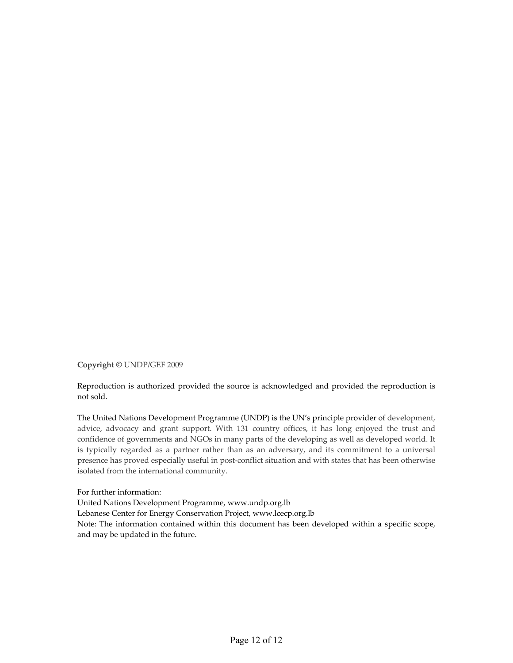**Copyright ©** UNDP/GEF 2009

Reproduction is authorized provided the source is acknowledged and provided the reproduction is not sold.

The United Nations Development Programme (UNDP) is the UN's principle provider of development, advice, advocacy and grant support. With 131 country offices, it has long enjoyed the trust and confidence of governments and NGOs in many parts of the developing as well as developed world. It is typically regarded as a partner rather than as an adversary, and its commitment to a universal presence has proved especially useful in post-conflict situation and with states that has been otherwise isolated from the international community.

For further information: United Nations Development Programme, www.undp.org.lb Lebanese Center for Energy Conservation Project, www.lcecp.org.lb Note: The information contained within this document has been developed within a specific scope, and may be updated in the future.